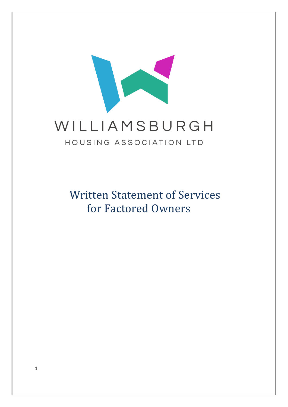

Written Statement of Services for Factored Owners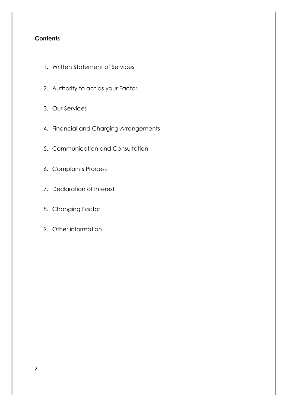#### **Contents**

- 1. Written Statement of Services
- 2. Authority to act as your Factor
- 3. Our Services
- 4. Financial and Charging Arrangements
- 5. Communication and Consultation
- 6. Complaints Process
- 7. Declaration of Interest
- 8. Changing Factor
- 9. Other information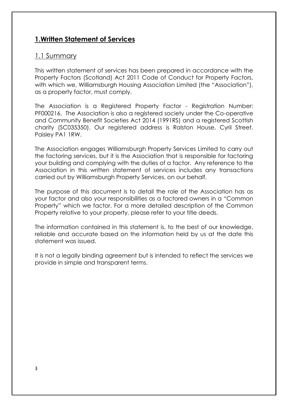## 1.Written Statement of Services

#### 1.1 Summary

This written statement of services has been prepared in accordance with the Property Factors (Scotland) Act 2011 Code of Conduct for Property Factors, with which we, Williamsburgh Housing Association Limited (the "Association"), as a property factor, must comply.

The Association is a Registered Property Factor - Registration Number: PF000216. The Association is also a registered society under the Co-operative and Community Benefit Societies Act 2014 (1991RS) and a registered Scottish charity (SC035350). Our registered address is Ralston House, Cyril Street, Paisley PA1 1RW.

The Association engages Williamsburgh Property Services Limited to carry out the factoring services, but it is the Association that is responsible for factoring your building and complying with the duties of a factor. Any reference to the Association in this written statement of services includes any transactions carried out by Williamsburgh Property Services, on our behalf.

The purpose of this document is to detail the role of the Association has as your factor and also your responsibilities as a factored owners in a "Common Property" which we factor. For a more detailed description of the Common Property relative to your property, please refer to your title deeds.

The information contained in this statement is, to the best of our knowledge, reliable and accurate based on the information held by us at the date this statement was issued.

It is not a legally binding agreement but is intended to reflect the services we provide in simple and transparent terms.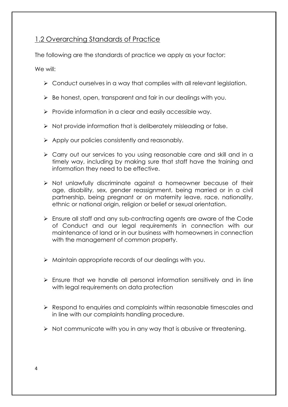## 1.2 Overarching Standards of Practice

The following are the standards of practice we apply as your factor:

We will:

- > Conduct ourselves in a way that complies with all relevant legislation.
- $\triangleright$  Be honest, open, transparent and fair in our dealings with you.
- $\triangleright$  Provide information in a clear and easily accessible way.
- $\triangleright$  Not provide information that is deliberately misleading or false.
- $\triangleright$  Apply our policies consistently and reasonably.
- Carry out our services to you using reasonable care and skill and in a timely way, including by making sure that staff have the training and information they need to be effective.
- $\triangleright$  Not unlawfully discriminate against a homeowner because of their age, disability, sex, gender reassignment, being married or in a civil partnership, being pregnant or on maternity leave, race, nationality, ethnic or national origin, religion or belief or sexual orientation.
- Ensure all staff and any sub-contracting agents are aware of the Code of Conduct and our legal requirements in connection with our maintenance of land or in our business with homeowners in connection with the management of common property.
- $\triangleright$  Maintain appropriate records of our dealings with you.
- $\triangleright$  Ensure that we handle all personal information sensitively and in line with legal requirements on data protection
- ▶ Respond to enquiries and complaints within reasonable timescales and in line with our complaints handling procedure.
- $\triangleright$  Not communicate with you in any way that is abusive or threatening.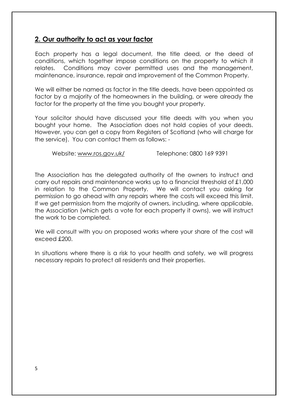### 2. Our authority to act as your factor

Each property has a legal document, the title deed, or the deed of conditions, which together impose conditions on the property to which it relates. Conditions may cover permitted uses and the management, maintenance, insurance, repair and improvement of the Common Property.

We will either be named as factor in the title deeds, have been appointed as factor by a majority of the homeowners in the building, or were already the factor for the property at the time you bought your property.

Your solicitor should have discussed your title deeds with you when you bought your home. The Association does not hold copies of your deeds. However, you can get a copy from Registers of Scotland (who will charge for the service). You can contact them as follows: -

Website: www.ros.gov.uk/ Telephone: 0800 169 9391

The Association has the delegated authority of the owners to instruct and carry out repairs and maintenance works up to a financial threshold of £1,000 in relation to the Common Property. We will contact you asking for permission to go ahead with any repairs where the costs will exceed this limit. If we get permission from the majority of owners, including, where applicable, the Association (which gets a vote for each property it owns), we will instruct the work to be completed.

We will consult with you on proposed works where your share of the cost will exceed £200.

In situations where there is a risk to your health and safety, we will progress necessary repairs to protect all residents and their properties.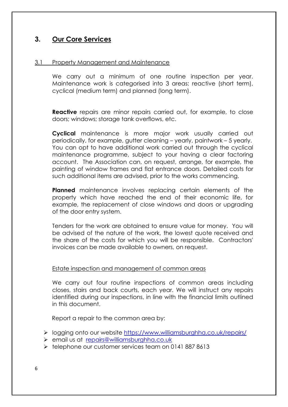## 3. Our Core Services

#### 3.1 Property Management and Maintenance

We carry out a minimum of one routine inspection per year. Maintenance work is categorised into 3 areas: reactive (short term), cyclical (medium term) and planned (long term).

**Reactive** repairs are minor repairs carried out, for example, to close doors; windows; storage tank overflows, etc.

Cyclical maintenance is more major work usually carried out periodically, for example, gutter cleaning – yearly, paintwork – 5 yearly. You can opt to have additional work carried out through the cyclical maintenance programme, subject to your having a clear factoring account. The Association can, on request, arrange, for example, the painting of window frames and flat entrance doors. Detailed costs for such additional items are advised, prior to the works commencing.

Planned maintenance involves replacing certain elements of the property which have reached the end of their economic life, for example, the replacement of close windows and doors or upgrading of the door entry system.

Tenders for the work are obtained to ensure value for money. You will be advised of the nature of the work, the lowest quote received and the share of the costs for which you will be responsible. Contractors' invoices can be made available to owners, on request.

#### Estate inspection and management of common areas

We carry out four routine inspections of common areas including closes, stairs and back courts, each year. We will instruct any repairs identified during our inspections, in line with the financial limits outlined in this document.

Report a repair to the common area by:

- logging onto our website https://www.williamsburghha.co.uk/repairs/
- email us at repairs@williamsburghha.co.uk
- $\ge$  telephone our customer services team on 0141 887 8613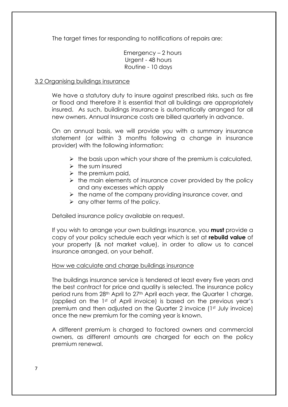The target times for responding to notifications of repairs are:

Emergency – 2 hours Urgent - 48 hours Routine - 10 days

#### 3.2 Organising buildings insurance

We have a statutory duty to insure against prescribed risks, such as fire or flood and therefore it is essential that all buildings are appropriately insured. As such, buildings insurance is automatically arranged for all new owners. Annual Insurance costs are billed quarterly in advance.

On an annual basis, we will provide you with a summary insurance statement (or within 3 months following a change in insurance provider) with the following information:

- $\triangleright$  the basis upon which your share of the premium is calculated,
- $\triangleright$  the sum insured
- $\triangleright$  the premium paid,
- $\triangleright$  the main elements of insurance cover provided by the policy and any excesses which apply
- $\triangleright$  the name of the company providing insurance cover, and
- $\triangleright$  any other terms of the policy.

Detailed insurance policy available on request.

If you wish to arrange your own buildings insurance, you **must** provide a copy of your policy schedule each year which is set at rebuild value of your property (& not market value), in order to allow us to cancel insurance arranged, on your behalf.

#### How we calculate and charge buildings insurance

The buildings insurance service is tendered at least every five years and the best contract for price and quality is selected. The insurance policy period runs from 28th April to 27th April each year, the Quarter 1 charge, (applied on the 1st of April invoice) is based on the previous year's premium and then adjusted on the Quarter 2 invoice (1st July invoice) once the new premium for the coming year is known.

A different premium is charged to factored owners and commercial owners, as different amounts are charged for each on the policy premium renewal.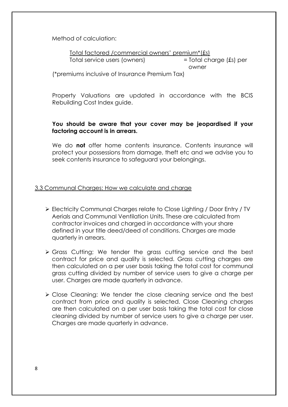Method of calculation:

Total factored /commercial owners' premium\*(£s) Total service users (owners) = Total charge (£s) per owner (\*premiums inclusive of Insurance Premium Tax)

Property Valuations are updated in accordance with the BCIS Rebuilding Cost Index guide.

#### You should be aware that your cover may be jeopardised if your factoring account is in arrears.

We do **not** offer home contents insurance. Contents insurance will protect your possessions from damage, theft etc and we advise you to seek contents insurance to safeguard your belongings.

#### 3.3 Communal Charges: How we calculate and charge

- Electricity Communal Charges relate to Close Lighting / Door Entry / TV Aerials and Communal Ventilation Units. These are calculated from contractor invoices and charged in accordance with your share defined in your title deed/deed of conditions. Charges are made quarterly in arrears.
- Grass Cutting; We tender the grass cutting service and the best contract for price and quality is selected. Grass cutting charges are then calculated on a per user basis taking the total cost for communal grass cutting divided by number of service users to give a charge per user. Charges are made quarterly in advance.
- Close Cleaning: We tender the close cleaning service and the best contract from price and quality is selected. Close Cleaning charges are then calculated on a per user basis taking the total cost for close cleaning divided by number of service users to give a charge per user. Charges are made quarterly in advance.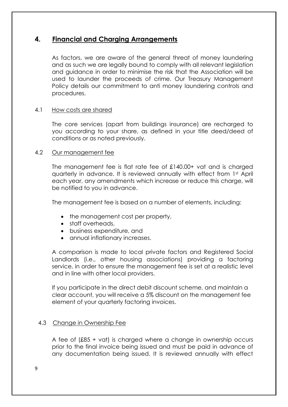## 4. Financial and Charging Arrangements

As factors, we are aware of the general threat of money laundering and as such we are legally bound to comply with all relevant legislation and guidance in order to minimise the risk that the Association will be used to launder the proceeds of crime. Our Treasury Management Policy details our commitment to anti money laundering controls and procedures.

#### 4.1 How costs are shared

 The core services (apart from buildings insurance) are recharged to you according to your share, as defined in your title deed/deed of conditions or as noted previously.

#### 4.2 Our management fee

The management fee is flat rate fee of £140.00+ vat and is charged quarterly in advance. It is reviewed annually with effect from 1st April each year, any amendments which increase or reduce this charge, will be notified to you in advance.

The management fee is based on a number of elements, including:

- the management cost per property,
- staff overheads,
- business expenditure, and
- annual inflationary increases.

A comparison is made to local private factors and Registered Social Landlords (i.e., other housing associations) providing a factoring service, in order to ensure the management fee is set at a realistic level and in line with other local providers.

If you participate in the direct debit discount scheme, and maintain a clear account, you will receive a 5% discount on the management fee element of your quarterly factoring invoices.

#### 4.3 Change in Ownership Fee

A fee of (£85 + vat) is charged where a change in ownership occurs prior to the final invoice being issued and must be paid in advance of any documentation being issued. It is reviewed annually with effect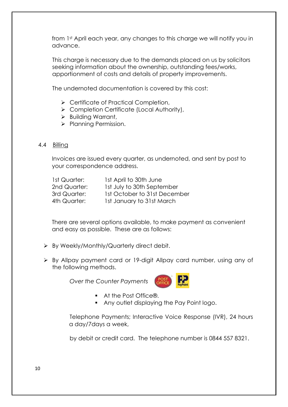from 1st April each year, any changes to this charge we will notify you in advance.

This charge is necessary due to the demands placed on us by solicitors seeking information about the ownership, outstanding fees/works, apportionment of costs and details of property improvements.

The undernoted documentation is covered by this cost:

- ▶ Certificate of Practical Completion,
- ▶ Completion Certificate (Local Authority),
- $\triangleright$  Building Warrant,
- $\triangleright$  Planning Permission.

#### 4.4 Billing

Invoices are issued every quarter, as undernoted, and sent by post to your correspondence address.

| 1st Quarter: | 1st April to 30th June       |
|--------------|------------------------------|
| 2nd Quarter: | 1st July to 30th September   |
| 3rd Quarter: | 1st October to 31st December |
| 4th Quarter: | 1st January to 31st March    |

There are several options available, to make payment as convenient and easy as possible. These are as follows:

- $\triangleright$  By Weekly/Monthly/Quarterly direct debit.
- By Allpay payment card or 19-digit Allpay card number, using any of the following methods.

Over the Counter Payments



- $A$  At the Post Office®
- Any outlet displaying the Pay Point logo.

Telephone Payments; Interactive Voice Response (IVR), 24 hours a day/7days a week,

by debit or credit card. The telephone number is 0844 557 8321.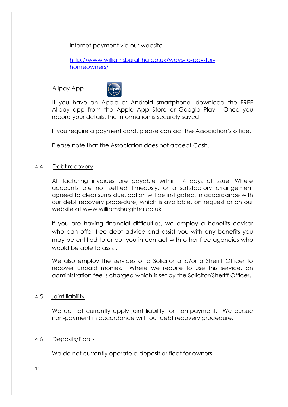Internet payment via our website

 http://www.williamsburghha.co.uk/ways-to-pay-forhomeowners/

#### Allpay App



If you have an Apple or Android smartphone, download the FREE Allpay app from the Apple App Store or Google Play. Once you record your details, the information is securely saved.

If you require a payment card, please contact the Association's office.

Please note that the Association does not accept Cash.

#### 4.4 Debt recovery

All factoring invoices are payable within 14 days of issue. Where accounts are not settled timeously, or a satisfactory arrangement agreed to clear sums due, action will be instigated, in accordance with our debt recovery procedure, which is available, on request or on our website at www.williamsburghha.co.uk

If you are having financial difficulties, we employ a benefits advisor who can offer free debt advice and assist you with any benefits you may be entitled to or put you in contact with other free agencies who would be able to assist.

We also employ the services of a Solicitor and/or a Sheriff Officer to recover unpaid monies. Where we require to use this service, an administration fee is charged which is set by the Solicitor/Sheriff Officer.

#### 4.5 Joint liability

We do not currently apply joint liability for non-payment. We pursue non-payment in accordance with our debt recovery procedure.

#### 4.6 Deposits/Floats

We do not currently operate a deposit or float for owners.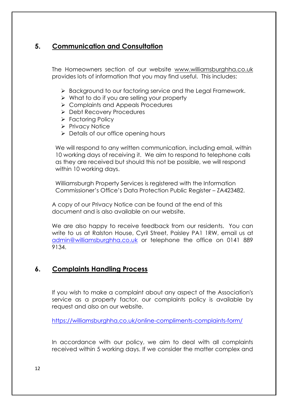## 5. Communication and Consultation

The Homeowners section of our website www.williamsburghha.co.uk provides lots of information that you may find useful. This includes:

- ▶ Background to our factoring service and the Legal Framework.
- $\triangleright$  What to do if you are selling your property
- **► Complaints and Appeals Procedures**
- ▶ Debt Recovery Procedures
- ▶ Factoring Policy
- $\triangleright$  Privacy Notice
- $\triangleright$  Details of our office opening hours

We will respond to any written communication, including email, within 10 working days of receiving it. We aim to respond to telephone calls as they are received but should this not be possible, we will respond within 10 working days.

Williamsburgh Property Services is registered with the Information Commissioner's Office's Data Protection Public Register – ZA423482.

A copy of our Privacy Notice can be found at the end of this document and is also available on our website.

We are also happy to receive feedback from our residents. You can write to us at Ralston House, Cyril Street, Paisley PA1 1RW, email us at admin@williamsburghha.co.uk or telephone the office on 0141 889 9134.

## 6. Complaints Handling Process

If you wish to make a complaint about any aspect of the Association's service as a property factor, our complaints policy is available by request and also on our website.

https://williamsburghha.co.uk/online-compliments-complaints-form/

In accordance with our policy, we aim to deal with all complaints received within 5 working days. If we consider the matter complex and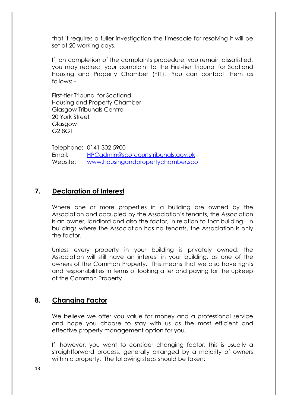that it requires a fuller investigation the timescale for resolving it will be set at 20 working days.

If, on completion of the complaints procedure, you remain dissatisfied, you may redirect your complaint to the First-tier Tribunal for Scotland Housing and Property Chamber (FTT). You can contact them as follows: -

First-tier Tribunal for Scotland Housing and Property Chamber Glasgow Tribunals Centre 20 York Street Glasgow G2 8GT

Telephone: 0141 302 5900 Email: HPCadmin@scotcourtstribunals.gov.uk Website: www.housingandpropertychamber.scot

## 7. Declaration of Interest

Where one or more properties in a building are owned by the Association and occupied by the Association's tenants, the Association is an owner, landlord and also the factor, in relation to that building. In buildings where the Association has no tenants, the Association is only the factor.

Unless every property in your building is privately owned, the Association will still have an interest in your building, as one of the owners of the Common Property. This means that we also have rights and responsibilities in terms of looking after and paying for the upkeep of the Common Property.

## 8. Changing Factor

We believe we offer you value for money and a professional service and hope you choose to stay with us as the most efficient and effective property management option for you.

If, however, you want to consider changing factor, this is usually a straightforward process, generally arranged by a majority of owners within a property. The following steps should be taken: